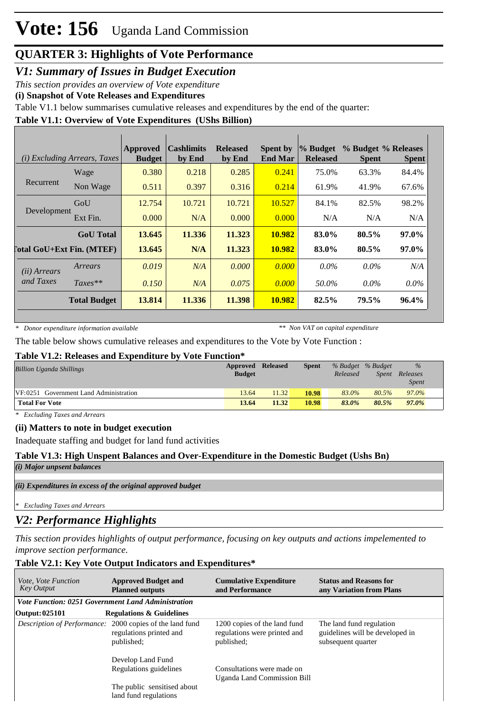# **Vote: 156** Uganda Land Commission

### **QUARTER 3: Highlights of Vote Performance**

*V1: Summary of Issues in Budget Execution*

*This section provides an overview of Vote expenditure* 

**(i) Snapshot of Vote Releases and Expenditures**

Table V1.1 below summarises cumulative releases and expenditures by the end of the quarter:

#### **Table V1.1: Overview of Vote Expenditures (UShs Billion)**

|                       | ( <i>i</i> ) Excluding Arrears, Taxes | <b>Approved</b><br><b>Budget</b> | <b>Cashlimits</b><br>by End | <b>Released</b><br>by End | <b>Spent by</b><br><b>End Mar</b> | % Budget<br><b>Released</b> | % Budget % Releases<br><b>Spent</b> | <b>Spent</b> |
|-----------------------|---------------------------------------|----------------------------------|-----------------------------|---------------------------|-----------------------------------|-----------------------------|-------------------------------------|--------------|
|                       | Wage                                  | 0.380                            | 0.218                       | 0.285                     | 0.241                             | 75.0%                       | 63.3%                               | 84.4%        |
| Recurrent             | Non Wage                              | 0.511                            | 0.397                       | 0.316                     | 0.214                             | 61.9%                       | 41.9%                               | 67.6%        |
|                       | GoU                                   | 12.754                           | 10.721                      | 10.721                    | 10.527                            | 84.1%                       | 82.5%                               | 98.2%        |
| Development           | Ext Fin.                              | 0.000                            | N/A                         | 0.000                     | 0.000                             | N/A                         | N/A                                 | N/A          |
|                       | <b>GoU</b> Total                      | 13.645                           | 11.336                      | 11.323                    | 10.982                            | 83.0%                       | $80.5\%$                            | 97.0%        |
|                       | <b>Total GoU+Ext Fin. (MTEF)</b>      | 13.645                           | N/A                         | 11.323                    | 10.982                            | 83.0%                       | 80.5%                               | 97.0%        |
| ( <i>ii</i> ) Arrears | Arrears                               | 0.019                            | N/A                         | 0.000                     | 0.000                             | $0.0\%$                     | $0.0\%$                             | N/A          |
| and Taxes             | $Taxes**$                             | 0.150                            | N/A                         | 0.075                     | 0.000                             | 50.0%                       | $0.0\%$                             | $0.0\%$      |
|                       | <b>Total Budget</b>                   | 13.814                           | 11.336                      | 11.398                    | 10.982                            | 82.5%                       | 79.5%                               | 96.4%        |

*\* Donor expenditure information available*

*\*\* Non VAT on capital expenditure*

The table below shows cumulative releases and expenditures to the Vote by Vote Function :

#### **Table V1.2: Releases and Expenditure by Vote Function\***

| <b>Billion Uganda Shillings</b>        | Approved Released<br><b>Budget</b> |       | <b>Spent</b> | Released | % Budget % Budget<br><i>Spent</i> | $\%$<br>Releases<br><b>Spent</b> |
|----------------------------------------|------------------------------------|-------|--------------|----------|-----------------------------------|----------------------------------|
| VF:0251 Government Land Administration | 13.64                              | 11.32 | 10.98        | 83.0%    | 80.5%                             | 97.0%                            |
| <b>Total For Vote</b>                  | 13.64                              | 11.32 | 10.98        | 83.0%    | 80.5%                             | 97.0%                            |

*\* Excluding Taxes and Arrears*

#### **(ii) Matters to note in budget execution**

Inadequate staffing and budget for land fund activities

#### **Table V1.3: High Unspent Balances and Over-Expenditure in the Domestic Budget (Ushs Bn)**

*(i) Major unpsent balances*

*(ii) Expenditures in excess of the original approved budget*

*\* Excluding Taxes and Arrears*

### *V2: Performance Highlights*

*This section provides highlights of output performance, focusing on key outputs and actions impelemented to improve section performance.*

#### **Table V2.1: Key Vote Output Indicators and Expenditures\***

| <i>Vote, Vote Function</i><br><b>Key Output</b>    | <b>Approved Budget and</b><br><b>Planned outputs</b>                                                     | <b>Cumulative Expenditure</b><br>and Performance                           | <b>Status and Reasons for</b><br>any Variation from Plans                         |
|----------------------------------------------------|----------------------------------------------------------------------------------------------------------|----------------------------------------------------------------------------|-----------------------------------------------------------------------------------|
| Vote Function: 0251 Government Land Administration |                                                                                                          |                                                                            |                                                                                   |
| Output: 025101                                     | <b>Regulations &amp; Guidelines</b>                                                                      |                                                                            |                                                                                   |
|                                                    | <i>Description of Performance:</i> 2000 copies of the land fund<br>regulations printed and<br>published; | 1200 copies of the land fund<br>regulations were printed and<br>published: | The land fund regulation<br>guidelines will be developed in<br>subsequent quarter |
|                                                    | Develop Land Fund<br>Regulations guidelines<br>The public sensitised about<br>land fund regulations      | Consultations were made on<br>Uganda Land Commission Bill                  |                                                                                   |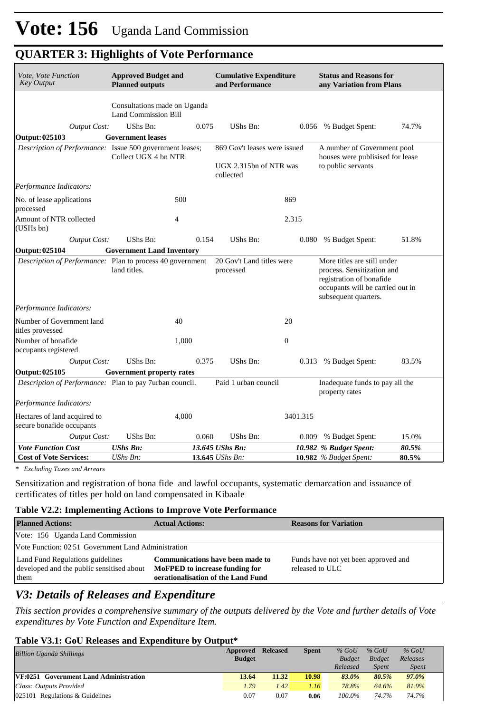| Vote, Vote Function<br><b>Key Output</b>                  | <b>Approved Budget and</b><br><b>Planned outputs</b>        |       | <b>Cumulative Expenditure</b><br>and Performance                    |              | <b>Status and Reasons for</b><br>any Variation from Plans                                                                                         |       |
|-----------------------------------------------------------|-------------------------------------------------------------|-------|---------------------------------------------------------------------|--------------|---------------------------------------------------------------------------------------------------------------------------------------------------|-------|
|                                                           | Consultations made on Uganda<br><b>Land Commission Bill</b> |       |                                                                     |              |                                                                                                                                                   |       |
| <b>Output Cost:</b>                                       | UShs Bn:                                                    | 0.075 | UShs Bn:                                                            |              | 0.056 % Budget Spent:                                                                                                                             | 74.7% |
| <b>Output: 025103</b>                                     | <b>Government leases</b>                                    |       |                                                                     |              |                                                                                                                                                   |       |
| Description of Performance: Issue 500 government leases;  | Collect UGX 4 bn NTR.                                       |       | 869 Gov't leases were issued<br>UGX 2.315bn of NTR was<br>collected |              | A number of Government pool<br>houses were publisised for lease<br>to public servants                                                             |       |
| Performance Indicators:                                   |                                                             |       |                                                                     |              |                                                                                                                                                   |       |
| No. of lease applications<br>processed                    |                                                             | 500   |                                                                     | 869          |                                                                                                                                                   |       |
| Amount of NTR collected<br>(USHs bn)                      |                                                             | 4     |                                                                     | 2.315        |                                                                                                                                                   |       |
| <b>Output Cost:</b>                                       | UShs Bn:                                                    | 0.154 | UShs Bn:                                                            | 0.080        | % Budget Spent:                                                                                                                                   | 51.8% |
| <b>Output: 025104</b>                                     | <b>Government Land Inventory</b>                            |       |                                                                     |              |                                                                                                                                                   |       |
| Description of Performance: Plan to process 40 government | land titles.                                                |       | 20 Gov't Land titles were<br>processed                              |              | More titles are still under<br>process. Sensitization and<br>registration of bonafide<br>occupants will be carried out in<br>subsequent quarters. |       |
| Performance Indicators:                                   |                                                             |       |                                                                     |              |                                                                                                                                                   |       |
| Number of Government land<br>titles provessed             |                                                             | 40    |                                                                     | 20           |                                                                                                                                                   |       |
| Number of bonafide<br>occupants registered                |                                                             | 1,000 |                                                                     | $\mathbf{0}$ |                                                                                                                                                   |       |
| <b>Output Cost:</b>                                       | UShs Bn:                                                    | 0.375 | UShs Bn:                                                            | 0.313        | % Budget Spent:                                                                                                                                   | 83.5% |
| Output: 025105                                            | <b>Government property rates</b>                            |       |                                                                     |              |                                                                                                                                                   |       |
| Description of Performance: Plan to pay 7urban council.   |                                                             |       | Paid 1 urban council                                                |              | Inadequate funds to pay all the<br>property rates                                                                                                 |       |
| Performance Indicators:                                   |                                                             |       |                                                                     |              |                                                                                                                                                   |       |
| Hectares of land acquired to<br>secure bonafide occupants |                                                             | 4,000 |                                                                     | 3401.315     |                                                                                                                                                   |       |
| <b>Output Cost:</b>                                       | UShs Bn:                                                    | 0.060 | UShs Bn:                                                            | 0.009        | % Budget Spent:                                                                                                                                   | 15.0% |
| <b>Vote Function Cost</b>                                 | <b>UShs Bn:</b>                                             |       | 13.645 UShs Bn:                                                     |              | 10.982 % Budget Spent:                                                                                                                            | 80.5% |
| <b>Cost of Vote Services:</b>                             | UShs Bn:                                                    |       | <b>13.645</b> <i>UShs Bn:</i>                                       |              | <b>10.982</b> % Budget Spent:                                                                                                                     | 80.5% |

### **QUARTER 3: Highlights of Vote Performance**

*\* Excluding Taxes and Arrears*

Sensitization and registration of bona fide and lawful occupants, systematic demarcation and issuance of certificates of titles per hold on land compensated in Kibaale

#### **Table V2.2: Implementing Actions to Improve Vote Performance**

| <b>Planned Actions:</b>                                                               | <b>Actual Actions:</b>                                                                                          | <b>Reasons for Variation</b>                            |  |  |  |  |  |  |
|---------------------------------------------------------------------------------------|-----------------------------------------------------------------------------------------------------------------|---------------------------------------------------------|--|--|--|--|--|--|
| Vote: 156 Uganda Land Commission                                                      |                                                                                                                 |                                                         |  |  |  |  |  |  |
| Vote Function: 02.51 Government Land Administration                                   |                                                                                                                 |                                                         |  |  |  |  |  |  |
| Land Fund Regulations guidelines<br>developed and the public sensitised about<br>them | <b>Communications have been made to</b><br>MoFPED to increase funding for<br>oerationalisation of the Land Fund | Funds have not yet been approved and<br>released to ULC |  |  |  |  |  |  |

## *V3: Details of Releases and Expenditure*

*This section provides a comprehensive summary of the outputs delivered by the Vote and further details of Vote expenditures by Vote Function and Expenditure Item.*

#### **Table V3.1: GoU Releases and Expenditure by Output\***

| <b>Billion Uganda Shillings</b>        | Approved      | <b>Released</b> | <b>Spent</b> | $%$ GoU       | $%$ GoU       | $%$ GoU      |  |
|----------------------------------------|---------------|-----------------|--------------|---------------|---------------|--------------|--|
|                                        | <b>Budget</b> |                 |              | <b>Budget</b> | <b>Budget</b> | Releases     |  |
|                                        |               |                 |              | Released      | <b>Spent</b>  | <i>Spent</i> |  |
| VF:0251 Government Land Administration | 13.64         | 11.32           | 10.98        | 83.0%         | 80.5%         | 97.0%        |  |
| Class: Outputs Provided                | 1.79          | 1.42            | 1.16         | 78.8%         | 64.6%         | 81.9%        |  |
| 025101 Regulations $&$ Guidelines      | 0.07          | 0.07            | 0.06         | $100.0\%$     | 74.7%         | 74.7%        |  |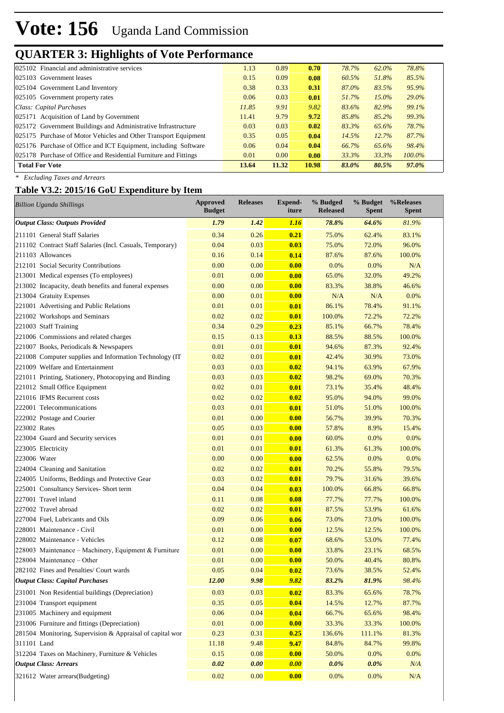## **QUARTER 3: Highlights of Vote Performance**

| 025102 Financial and administrative services                     | 1.13  | 0.89  | 0.70  | 78.7% | 62.0%    | 78.8%     |
|------------------------------------------------------------------|-------|-------|-------|-------|----------|-----------|
| 025103 Government leases                                         | 0.15  | 0.09  | 0.08  | 60.5% | 51.8%    | 85.5%     |
| 025104 Government Land Inventory                                 | 0.38  | 0.33  | 0.31  | 87.0% | 83.5%    | 95.9%     |
| 025105 Government property rates                                 | 0.06  | 0.03  | 0.01  | 51.7% | $15.0\%$ | 29.0%     |
| Class: Capital Purchases                                         | 11.85 | 9.91  | 9.82  | 83.6% | 82.9%    | 99.1%     |
| 025171 Acquisition of Land by Government                         | 11.41 | 9.79  | 9.72  | 85.8% | 85.2%    | 99.3%     |
| 025172 Government Buildings and Administrative Infrastructure    | 0.03  | 0.03  | 0.02  | 83.3% | 65.6%    | 78.7%     |
| 025175 Purchase of Motor Vehicles and Other Transport Equipment  | 0.35  | 0.05  | 0.04  | 14.5% | 12.7%    | 87.7%     |
| 025176 Purchase of Office and ICT Equipment, including Software  | 0.06  | 0.04  | 0.04  | 66.7% | 65.6%    | 98.4%     |
| 025178 Purchase of Office and Residential Furniture and Fittings | 0.01  | 0.00  | 0.00  | 33.3% | 33.3%    | $100.0\%$ |
| <b>Total For Vote</b>                                            | 13.64 | 11.32 | 10.98 | 83.0% | 80.5%    | 97.0%     |

*\* Excluding Taxes and Arrears*

### **Table V3.2: 2015/16 GoU Expenditure by Item**

| <b>Billion Uganda Shillings</b>                           | <b>Approved</b><br><b>Budget</b> | <b>Releases</b> | Expend-<br>iture | % Budged<br><b>Released</b> | % Budget<br><b>Spent</b> | %Releases<br><b>Spent</b> |
|-----------------------------------------------------------|----------------------------------|-----------------|------------------|-----------------------------|--------------------------|---------------------------|
| <b>Output Class: Outputs Provided</b>                     | 1.79                             | 1.42            | <b>1.16</b>      | 78.8%                       | 64.6%                    | 81.9%                     |
| 211101 General Staff Salaries                             | 0.34                             | 0.26            | 0.21             | 75.0%                       | 62.4%                    | 83.1%                     |
| 211102 Contract Staff Salaries (Incl. Casuals, Temporary) | 0.04                             | 0.03            | 0.03             | 75.0%                       | 72.0%                    | 96.0%                     |
| 211103 Allowances                                         | 0.16                             | 0.14            | 0.14             | 87.6%                       | 87.6%                    | 100.0%                    |
| 212101 Social Security Contributions                      | 0.00                             | 0.00            | 0.00             | 0.0%                        | 0.0%                     | N/A                       |
| 213001 Medical expenses (To employees)                    | 0.01                             | 0.00            | 0.00             | 65.0%                       | 32.0%                    | 49.2%                     |
| 213002 Incapacity, death benefits and funeral expenses    | 0.00                             | 0.00            | 0.00             | 83.3%                       | 38.8%                    | 46.6%                     |
| 213004 Gratuity Expenses                                  | 0.00                             | 0.01            | 0.00             | N/A                         | N/A                      | 0.0%                      |
| 221001 Advertising and Public Relations                   | 0.01                             | 0.01            | 0.01             | 86.1%                       | 78.4%                    | 91.1%                     |
| 221002 Workshops and Seminars                             | 0.02                             | 0.02            | 0.01             | 100.0%                      | 72.2%                    | 72.2%                     |
| 221003 Staff Training                                     | 0.34                             | 0.29            | 0.23             | 85.1%                       | 66.7%                    | 78.4%                     |
| 221006 Commissions and related charges                    | 0.15                             | 0.13            | 0.13             | 88.5%                       | 88.5%                    | 100.0%                    |
| 221007 Books, Periodicals & Newspapers                    | 0.01                             | 0.01            | 0.01             | 94.6%                       | 87.3%                    | 92.4%                     |
| 221008 Computer supplies and Information Technology (IT   | 0.02                             | 0.01            | 0.01             | 42.4%                       | 30.9%                    | 73.0%                     |
| 221009 Welfare and Entertainment                          | 0.03                             | 0.03            | 0.02             | 94.1%                       | 63.9%                    | 67.9%                     |
| 221011 Printing, Stationery, Photocopying and Binding     | 0.03                             | 0.03            | 0.02             | 98.2%                       | 69.0%                    | 70.3%                     |
| 221012 Small Office Equipment                             | 0.02                             | 0.01            | 0.01             | 73.1%                       | 35.4%                    | 48.4%                     |
| 221016 IFMS Recurrent costs                               | 0.02                             | 0.02            | 0.02             | 95.0%                       | 94.0%                    | 99.0%                     |
| 222001 Telecommunications                                 | 0.03                             | 0.01            | 0.01             | 51.0%                       | 51.0%                    | 100.0%                    |
| 222002 Postage and Courier                                | 0.01                             | 0.00            | 0.00             | 56.7%                       | 39.9%                    | 70.3%                     |
| 223002 Rates                                              | 0.05                             | 0.03            | 0.00             | 57.8%                       | 8.9%                     | 15.4%                     |
| 223004 Guard and Security services                        | 0.01                             | 0.01            | 0.00             | 60.0%                       | 0.0%                     | 0.0%                      |
| 223005 Electricity                                        | 0.01                             | 0.01            | 0.01             | 61.3%                       | 61.3%                    | 100.0%                    |
| 223006 Water                                              | 0.00                             | 0.00            | 0.00             | 62.5%                       | 0.0%                     | 0.0%                      |
| 224004 Cleaning and Sanitation                            | 0.02                             | 0.02            | 0.01             | 70.2%                       | 55.8%                    | 79.5%                     |
| 224005 Uniforms, Beddings and Protective Gear             | 0.03                             | 0.02            | 0.01             | 79.7%                       | 31.6%                    | 39.6%                     |
| 225001 Consultancy Services- Short term                   | 0.04                             | 0.04            | 0.03             | 100.0%                      | 66.8%                    | 66.8%                     |
| 227001 Travel inland                                      | 0.11                             | 0.08            | 0.08             | 77.7%                       | 77.7%                    | 100.0%                    |
| 227002 Travel abroad                                      | 0.02                             | 0.02            | 0.01             | 87.5%                       | 53.9%                    | 61.6%                     |
| 227004 Fuel, Lubricants and Oils                          | 0.09                             | 0.06            | 0.06             | 73.0%                       | 73.0%                    | 100.0%                    |
| 228001 Maintenance - Civil                                | 0.01                             | 0.00            | 0.00             | 12.5%                       | 12.5%                    | 100.0%                    |
| 228002 Maintenance - Vehicles                             | 0.12                             | 0.08            | 0.07             | 68.6%                       | 53.0%                    | 77.4%                     |
| 228003 Maintenance – Machinery, Equipment & Furniture     | 0.01                             | 0.00            | 0.00             | 33.8%                       | 23.1%                    | 68.5%                     |
| 228004 Maintenance – Other                                | 0.01                             | 0.00            | 0.00             | 50.0%                       | 40.4%                    | 80.8%                     |
| 282102 Fines and Penalties/ Court wards                   | 0.05                             | 0.04            | 0.02             | 73.6%                       | 38.5%                    | 52.4%                     |
| <b>Output Class: Capital Purchases</b>                    | 12.00                            | 9.98            | 9.82             | 83.2%                       | 81.9%                    | 98.4%                     |
| 231001 Non Residential buildings (Depreciation)           | 0.03                             | 0.03            | 0.02             | 83.3%                       | 65.6%                    | 78.7%                     |
| 231004 Transport equipment                                | 0.35                             | 0.05            | 0.04             | 14.5%                       | 12.7%                    | 87.7%                     |
| 231005 Machinery and equipment                            | 0.06                             | 0.04            | 0.04             | 66.7%                       | 65.6%                    | 98.4%                     |
| 231006 Furniture and fittings (Depreciation)              | 0.01                             | 0.00            | 0.00             | 33.3%                       | 33.3%                    | 100.0%                    |
| 281504 Monitoring, Supervision & Appraisal of capital wor | 0.23                             | 0.31            | 0.25             | 136.6%                      | 111.1%                   | 81.3%                     |
| 311101 Land                                               | 11.18                            | 9.48            | 9.47             | 84.8%                       | 84.7%                    | 99.8%                     |
| 312204 Taxes on Machinery, Furniture & Vehicles           | 0.15                             | $0.08\,$        | 0.00             | 50.0%                       | 0.0%                     | 0.0%                      |
| <b>Output Class: Arrears</b>                              | 0.02                             | 0.00            | 0.00             | $0.0\%$                     | 0.0%                     | N/A                       |
| 321612 Water arrears(Budgeting)                           | 0.02                             | 0.00            | 0.00             | 0.0%                        | 0.0%                     | $\rm N/A$                 |